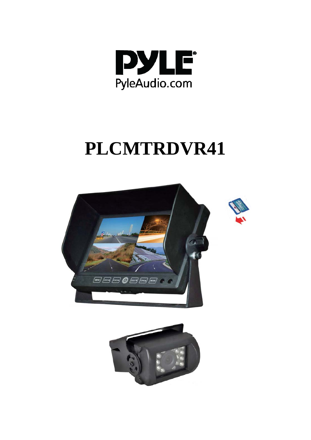

# **PLCMTRDVR41**



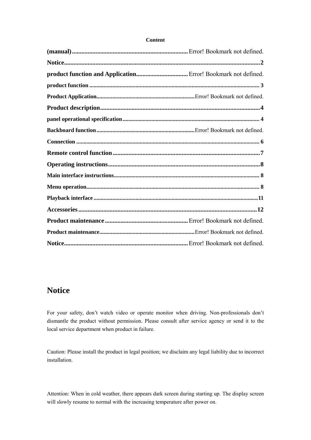#### **Notice**

For your safety, don't watch video or operate monitor when driving. Non-professionals don't dismantle the product without permission. Please consult after service agency or send it to the local service department when product in failure.

Caution: Please install the product in legal position; we disclaim any legal liability due to incorrect installation.

Attention: When in cold weather, there appears dark screen during starting up. The display screen will slowly resume to normal with the increasing temperature after power on.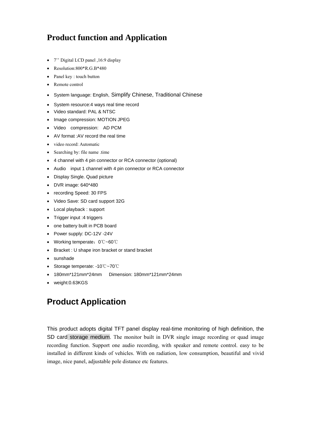#### **Product function and Application**

- 7'' Digital LCD panel ,16:9 display
- Resolution: $800*R.G.B*480$
- Panel key : touch button
- Remote control
- System language: English, Simplify Chinese, Traditional Chinese
- System resource:4 ways real time record
- Video standard: PAL & NTSC
- Image compression: MOTION JPEG
- Video compression: AD PCM
- AV format :AV record the real time
- video record: Automatic
- Searching by: file name .time
- 4 channel with 4 pin connector or RCA connector (optional)
- Audio input 1 channel with 4 pin connector or RCA connector
- Display Single. Quad picture
- DVR image: 640\*480
- recording Speed: 30 FPS
- Video Save: SD card support 32G
- Local playback : support
- Trigger input :4 triggers
- one battery built in PCB board
- Power supply: DC-12V -24V
- Working temperate:0℃~60℃
- Bracket : U shape iron bracket or stand bracket
- sunshade
- Storage temperate: -10℃~70℃
- 180mm\*121mm\*24mm Dimension: 180mm\*121mm\*24mm
- weight:0.63KGS

### **Product Application**

This product adopts digital TFT panel display real-time monitoring of high definition, the SD card storage medium. The monitor built in DVR single image recording or quad image recording function. Support one audio recording, with speaker and remote control. easy to be installed in different kinds of vehicles. With on radiation, low consumption, beautiful and vivid image, nice panel, adjustable pole distance etc features.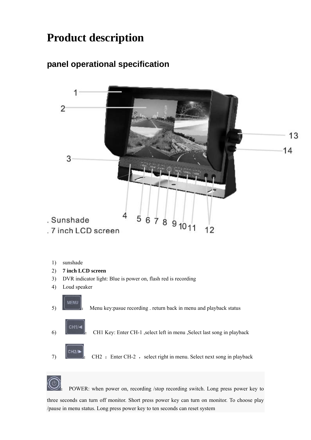### **Product description**

### **panel operational specification**



- 1) sunshade
- 2) **7 inch LCD screen**
- 3) DVR indicator light: Blue is power on, flash red is recording
- 4) Loud speaker





POWER: when power on, recording /stop recording switch. Long press power key to

three seconds can turn off monitor. Short press power key can turn on monitor. To choose play /pause in menu status. Long press power key to ten seconds can reset system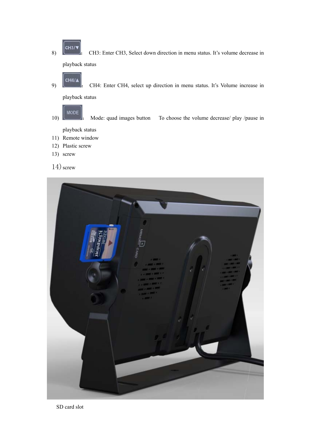8)  $\boxed{\text{CH3/}}$ : CH3: Enter CH3, Select down direction in menu status. It's volume decrease in playback status

- 9) **CH4/A**<br> **EXECH4:** Enter CH4, select up direction in menu status. It's Volume increase in playback status
- **MODE** 10) : Mode: quad images button To choose the volume decrease/ play /pause in playback status
- 11) Remote window
- 12) Plastic screw
- 13) screw

 $14)$  screw

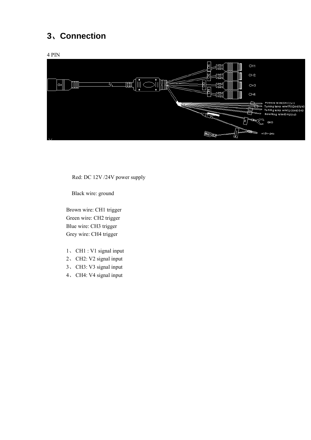### **3**、**Connection**

4 PIN



Red: DC 12V /24V power supply

Black wire: ground

Brown wire: CH1 trigger Green wire: CH2 trigger Blue wire: CH3 trigger Grey wire: CH4 trigger

- 1、 CH1 : V1 signal input
- 2、 CH2: V2 signal input
- 3、 CH3: V3 signal input
- 4、 CH4: V4 signal input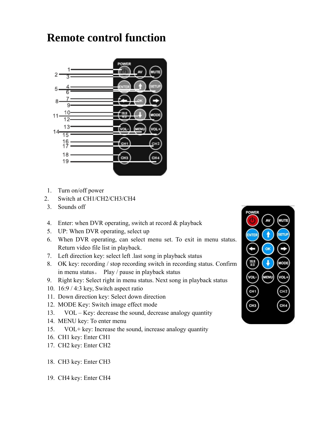### **Remote control function**



- 1. Turn on/off power
- 2. Switch at CH1/CH2/CH3/CH4
- 3. Sounds off
- 4. Enter: when DVR operating, switch at record & playback
- 5. UP: When DVR operating, select up
- 6. When DVR operating, can select menu set. To exit in menu status. Return video file list in playback.
- 7. Left direction key: select left .last song in playback status
- 8. OK key: recording / stop recording switch in recording status. Confirm in menu status。 Play / pause in playback status
- 9. Right key: Select right in menu status. Next song in playback status
- 10. 16:9 / 4:3 key, Switch aspect ratio
- 11. Down direction key: Select down direction
- 12. MODE Key: Switch image effect mode
- 13. VOL Key: decrease the sound, decrease analogy quantity
- 14. MENU key: To enter menu
- 15. VOL+ key: Increase the sound, increase analogy quantity
- 16. CH1 key: Enter CH1
- 17. CH2 key: Enter CH2
- 18. CH3 key: Enter CH3
- 19. CH4 key: Enter CH4

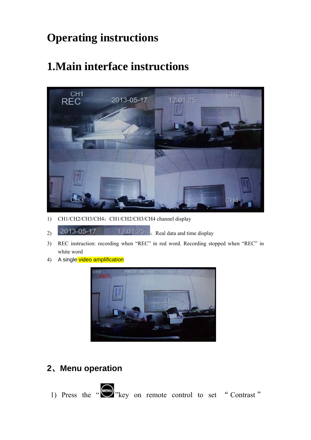## **Operating instructions**

### **1.Main interface instructions**



- 1) CH1/CH2/CH3/CH4: CH1/CH2/CH3/CH4 channel display
- 2013-05-17 12:01:25 Real data and time display
- 3) REC instruction: recording when "REC" in red word. Recording stopped when "REC" in white word
- 4) A single video amplification



### **2**、**Menu operation**

1) Press the  $\frac{1}{2}$  "key on remote control to set " Contrast"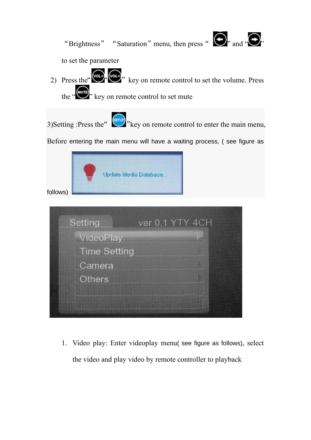

1. Video play: Enter videoplay menu( see figure as follows), select the video and play video by remote controller to playback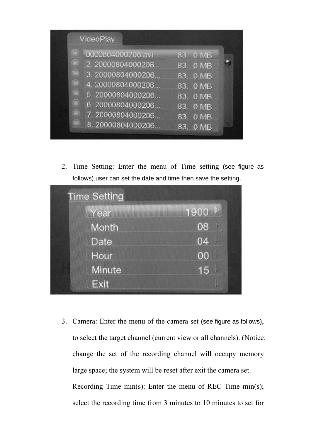|                                         | VideoPlay                                                                                                                                                          |                                                                                              |  |
|-----------------------------------------|--------------------------------------------------------------------------------------------------------------------------------------------------------------------|----------------------------------------------------------------------------------------------|--|
| 露<br><b>COL</b><br>$\blacksquare$<br>OB | 0000804000206.avi<br>2. 20000804000206<br>3. 20000804000206<br>4. 20000804000206<br>5.20000804000206<br>6, 20000804000206<br>7.20000804000206<br>8. 20000804000206 | 83. 0 MB<br>83. 0 MB<br>83. 0 MB<br>83. 0 MB<br>83. 0 MB<br>83. 0 MB<br>83. 0 MB<br>83. 0 MB |  |

2. Time Setting: Enter the menu of Time setting (see figure as follows).user can set the date and time then save the setting.

| <b>Time Setting</b> |                 |
|---------------------|-----------------|
| Year Miller         | 1900            |
| Month               | 08              |
| Date                | <b>IV</b><br>04 |
| Hour                | <b>AV</b><br>00 |
| Minute              | b<br>15         |
| Exit                | 围               |

3. Camera: Enter the menu of the camera set (see figure as follows), to select the target channel (current view or all channels). (Notice: change the set of the recording channel will occupy memory large space; the system will be reset after exit the camera set. Recording Time min(s): Enter the menu of REC Time min(s); select the recording time from 3 minutes to 10 minutes to set for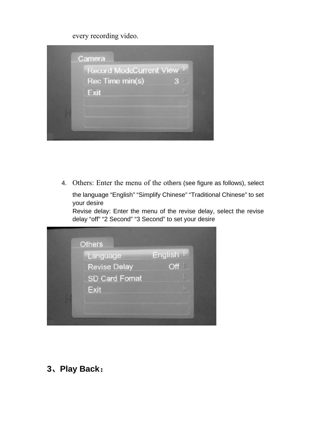every recording video.



4. Others: Enter the menu of the others (see figure as follows), select

the language "English" "Simplify Chinese" "Traditional Chinese" to set your desire

Revise delay: Enter the menu of the revise delay, select the revise delay "off" "2 Second" "3 Second" to set your desire



**3**、**Play Back**: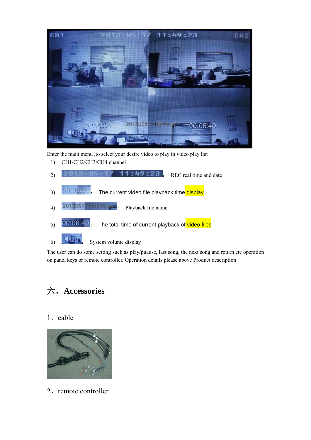

Enter the main menu ,to select your desire video to play in video play list

- 1) CH1/CH2/CH3/CH4 channel
- 2)  $2813 85 17$  11:49:23 REC real time and date
- 3) **DOCODED**: The current video file playback time display
- 4)  $20130517114919.494$  Playback file name
- $\frac{1}{5}$  00.06.40  $\frac{1}{5}$  The total time of current playback of video files

 $\overline{\phantom{a}}$   $\overline{\phantom{a}}$   $\overline{\phantom{a}}$   $\overline{\phantom{a}}$  System volume display

The user can do some setting such as play/puause, last song, the next song and return etc operation on panel keys or remote controller. Operation details please above Product description

### 六、**Accessories**

#### 1、cable



2、remote controller